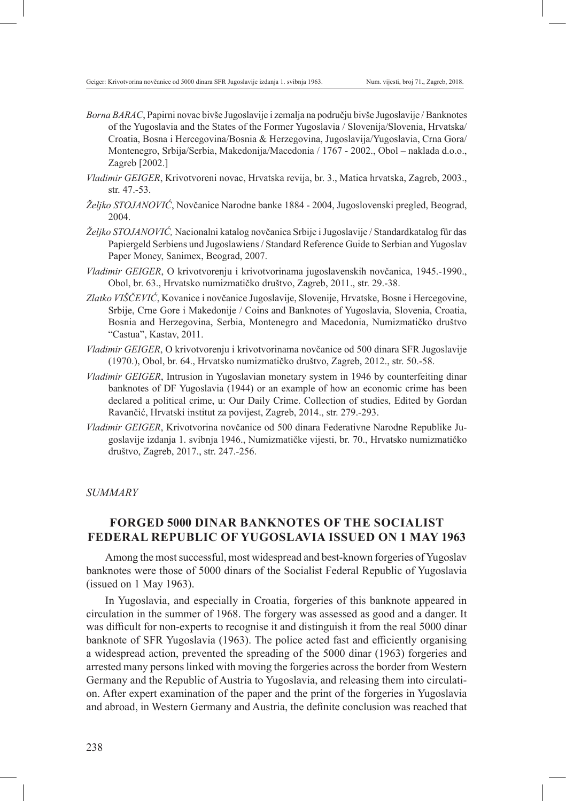- *Borna BARAC*, Papirni novac bivše Jugoslavije i zemalja na području bivše Jugoslavije / Banknotes of the Yugoslavia and the States of the Former Yugoslavia / Slovenija/Slovenia, Hrvatska/ Croatia, Bosna i Hercegovina/Bosnia & Herzegovina, Jugoslavija/Yugoslavia, Crna Gora/ Montenegro, Srbija/Serbia, Makedonija/Macedonia / 1767 - 2002., Obol – naklada d.o.o., Zagreb [2002.]
- *Vladimir GEIGER*, Krivotvoreni novac, Hrvatska revija, br. 3., Matica hrvatska, Zagreb, 2003., str. 47.-53.
- *Željko STOJANOVIĆ*, Novčanice Narodne banke 1884 2004, Jugoslovenski pregled, Beograd, 2004.
- *Željko STOJANOVIĆ,* Nacionalni katalog novčanica Srbije i Jugoslavije / Standardkatalog für das Papiergeld Serbiens und Jugoslawiens / Standard Reference Guide to Serbian and Yugoslav Paper Money, Sanimex, Beograd, 2007.
- *Vladimir GEIGER*, O krivotvorenju i krivotvorinama jugoslavenskih novčanica, 1945.-1990., Obol, br. 63., Hrvatsko numizmatičko društvo, Zagreb, 2011., str. 29.-38.
- *Zlatko VIŠČEVIĆ*, Kovanice i novčanice Jugoslavije, Slovenije, Hrvatske, Bosne i Hercegovine, Srbije, Crne Gore i Makedonije / Coins and Banknotes of Yugoslavia, Slovenia, Croatia, Bosnia and Herzegovina, Serbia, Montenegro and Macedonia, Numizmatičko društvo "Castua", Kastav, 2011.
- *Vladimir GEIGER*, O krivotvorenju i krivotvorinama novčanice od 500 dinara SFR Jugoslavije (1970.), Obol, br. 64., Hrvatsko numizmatičko društvo, Zagreb, 2012., str. 50.-58.
- *Vladimir GEIGER*, Intrusion in Yugoslavian monetary system in 1946 by counterfeiting dinar banknotes of DF Yugoslavia (1944) or an example of how an economic crime has been declared a political crime, u: Our Daily Crime. Collection of studies, Edited by Gordan Ravančić, Hrvatski institut za povijest, Zagreb, 2014., str. 279.-293.
- *Vladimir GEIGER*, Krivotvorina novčanice od 500 dinara Federativne Narodne Republike Jugoslavije izdanja 1. svibnja 1946., Numizmatičke vijesti, br. 70., Hrvatsko numizmatičko društvo, Zagreb, 2017., str. 247.-256.

*SUMMARY*

## **FORGED 5000 DINAR BANKNOTES OF THE SOCIALIST FEDERAL REPUBLIC OF YUGOSLAVIA ISSUED ON 1 MAY 1963**

Among the most successful, most widespread and best-known forgeries of Yugoslav banknotes were those of 5000 dinars of the Socialist Federal Republic of Yugoslavia (issued on 1 May 1963).

In Yugoslavia, and especially in Croatia, forgeries of this banknote appeared in circulation in the summer of 1968. The forgery was assessed as good and a danger. It was difficult for non-experts to recognise it and distinguish it from the real 5000 dinar banknote of SFR Yugoslavia (1963). The police acted fast and efficiently organising a widespread action, prevented the spreading of the 5000 dinar (1963) forgeries and arrested many persons linked with moving the forgeries across the border from Western Germany and the Republic of Austria to Yugoslavia, and releasing them into circulation. After expert examination of the paper and the print of the forgeries in Yugoslavia and abroad, in Western Germany and Austria, the definite conclusion was reached that